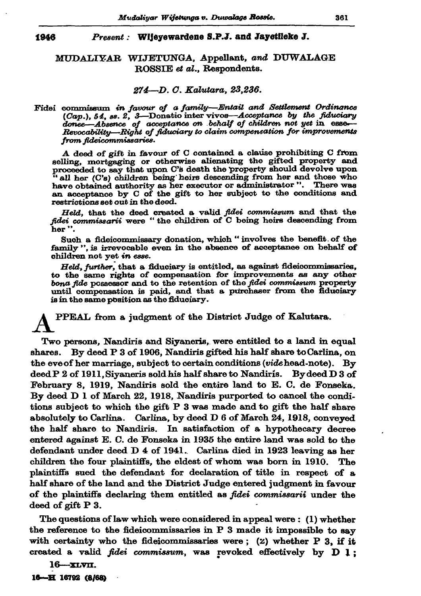## 1946 Present: Wijevewardene S.P.J. and Jayetileke J.

## MUDALIYAR WIJETUNGA, Appellant, and DUWALAGE ROSSIE et al., Respondents.

## 274 - D. C. Kalutara, 23,236.

Fidei commissum in favour of a family-Entail and Settlement Ordinance  $(Cap.)$ , 54, ss. 2, 3—Donatio inter vivos—Acceptance by the fiduciary donee—Absence of acceptance on behalf of children not yet in esse— Revocability-Right of fiduciary to claim compensation for improvements from fideicommissaries.

A deed of gift in favour of C contained a clause prohibiting C from selling, mortgaging or otherwise alienating the gifted property and proceeded to say that upon C's death the property should devolve upon "all her (C's) children being heirs descending from her and those who have obtained authority as her executor or administrator". There was an acceptance by C of the gift to her subject to the conditions and restrictions set out in the deed.

Held, that the deed created a valid fidei commissum and that the fidei commissarii were "the children of C being heirs descending from her".

Such a fideicommissary donation, which "involves the benefit of the family ", is irrevocable even in the absence of acceptance on behalf of children not yet in esse.

Held, further, that a fiduciary is entitled, as against fideicommissaries, to the same rights of compensation for improvements as any other bona fide possessor and to the retention of the fidei commissum property until compensation is paid, and that a purchaser from the fiduciary is in the same position as the fiduciary.

PPEAL from a judgment of the District Judge of Kalutara.

Two persons, Nandiris and Siyaneris, were entitled to a land in equal By deed P 3 of 1906, Nandiris gifted his half share to Carlina, on shares. the eve of her marriage, subject to certain conditions (vide head-note). By  $\bold{deed}$  P 2 of 1911, Siyaneris sold his half share to Nandiris. By deed D 3 of February 8, 1919, Nandiris sold the entire land to E. C. de Fonseka. By deed D 1 of March 22, 1918, Nandiris purported to cancel the conditions subject to which the gift P 3 was made and to gift the half share absolutely to Carlina. Carlina, by deed D 6 of March 24, 1918, conveyed the half share to Nandiris. In satisfaction of a hypothecary decree entered against E. C. de Fonseka in 1935 the entire land was sold to the defendant under deed D 4 of 1941. Carlina died in 1923 leaving as her children the four plaintiffs, the eldest of whom was born in 1910. The plaintiffs sued the defendant for declaration of title in respect of a half share of the land and the District Judge entered judgment in favour of the plaintiffs declaring them entitled as *fidei commissarii* under the deed of gift  $P_3$ .

The questions of law which were considered in appeal were: (1) whether the reference to the fideicommissaries in  $P$  3 made it impossible to say with certainty who the fideicommissaries were;  $(2)$  whether P 3, if it created a valid fidei commissum, was revoked effectively by  $D 1$ :

 $16 - xLv$ II.

16-H 16792 (8/68)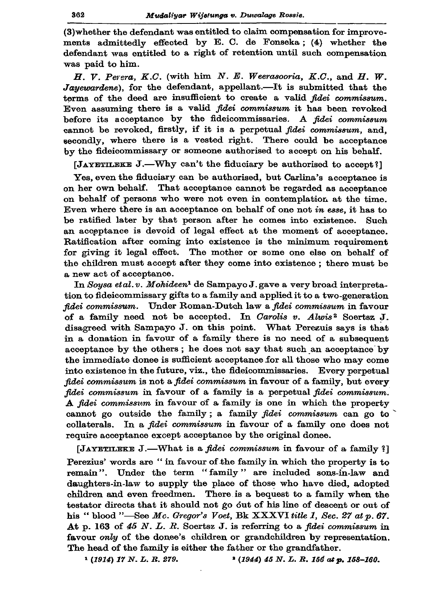(3) whether the defendant was entitled to claim compensation for improvements admittedly effected by E. C. de Fonseka; (4) whether the defendant was entitled to a right of retention until such compensation was paid to him.

H. V. Perera, K.C. (with him  $N.$  E. Weerasooria, K.C., and H. W. Jayewardene), for the defendant, appellant.-It is submitted that the terms of the deed are insufficient to create a valid fidei commissum. Even assuming there is a valid *fidei commissum* it has been revoked before its acceptance by the fideicommissaries. A fidei commissum cannot be revoked, firstly, if it is a perpetual fidei commissum, and, secondly, where there is a vested right. There could be acceptance by the fideicommissary or someone authorised to accept on his behalf.

[JAYETILEKE J.—Why can't the fiduciary be authorised to accept?]

Yes, even the fiduciary can be authorised, but Carlina's acceptance is on her own behalf. That acceptance cannot be regarded as acceptance on behalf of persons who were not even in contemplation at the time. Even where there is an acceptance on behalf of one not in esse, it has to be ratified later by that person after he comes into existence. Such an acceptance is devoid of legal effect at the moment of acceptance. Ratification after coming into existence is the minimum requirement for giving it legal effect. The mother or some one else on behalf of the children must accept after they come into existence; there must be a new act of acceptance.

In Sousa et al. v. Mohideen<sup>1</sup> de Sampayo J. gave a very broad interpretation to fideicommissary gifts to a family and applied it to a two-generation fidei commissum. Under Roman-Dutch law a fidei commissum in favour of a family need not be accepted. In Carolis v. Alwis<sup>2</sup> Soertsz J. disagreed with Sampayo J. on this point. What Perezuis says is that in a donation in favour of a family there is no need of a subsequent acceptance by the others; he does not say that such an acceptance by the immediate donee is sufficient acceptance for all those who may come into existence in the future, viz., the fideicommissaries. Every perpetual fidei commissum is not a fidei commissum in favour of a family, but every fidei commissum in favour of a family is a perpetual fidei commissum. A fidei commissum in favour of a family is one in which the property cannot go outside the family; a family *fidei* commissum can go to collaterals. In a fidei commissum in favour of a family one does not require acceptance except acceptance by the original donee.

[JAYETILEKE J.—What is a *fidei commissum* in favour of a family ?] Perezius' words are " in favour of the family in which the property is to remain". Under the term "family" are included sons-in-law and daughters-in-law to supply the place of those who have died, adopted children and even freedmen. There is a bequest to a family when the testator directs that it should not go out of his line of descent or out of his "blood "-See Mc. Gregor's Voet, Bk XXXVI title 1, Sec. 27 at  $p. 67$ . At p. 163 of 45 N. L. R. Soertsz J. is referring to a fidei commissum in favour only of the dones's children or grandchildren by representation. The head of the family is either the father or the grandfather.

<sup>1</sup> (1914) 17 N.L.R. 279. <sup>3</sup> (1944) 45 N. L. R. 156 at p. 158-160.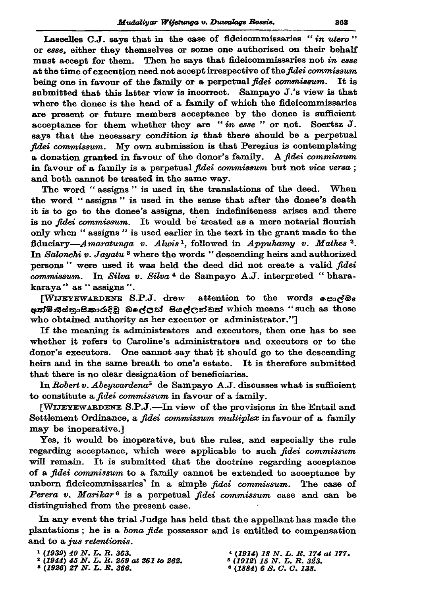Lascelles C.J. says that in the case of fideicommissaries "in utero" or esse, either they themselves or some one authorised on their behalf must accept for them. Then he says that fideicommissaries not in esse at the time of execution need not accept irrespective of the fidei commissum being one in favour of the family or a perpetual fidei commissum. It is submitted that this latter view is incorrect. Sampayo J.'s view is that where the donee is the head of a family of which the fideicommissaries are present or future members acceptance by the donee is sufficient acceptance for them whether they are "in esse" or not. Soertsz J. says that the necessary condition is that there should be a perpetual fidei commissum. My own submission is that Perezius is contemplating a donation granted in favour of the donor's family. A fidei commissum in favour of a family is a perpetual fidei commissum but not vice versa; and both cannot be treated in the same way.

The word "assigns" is used in the translations of the deed. When the word "assigns" is used in the sense that after the donee's death it is to go to the donee's assigns, then indefiniteness arises and there is no *fidei commissum*. It would be treated as a mere notarial flourish only when "assigns" is used earlier in the text in the grant made to the fiduciary—Amaratunga v. Alwis<sup>1</sup>, followed in Appuhamy v. Mathes<sup>2</sup>. In Salonchi v. Jayatu<sup>3</sup> where the words "descending heirs and authorized persons" were used it was held the deed did not create a valid fidei commissum. In Silva v. Silva<sup>4</sup> de Sampayo A.J. interpreted "bharakaraya" as "assigns".

[WIJEYEWARDENE S.P.J. drew attention to the words esides eන්මිනිස්තාසිකාරුදිවූ බලේලන් සියල්ලන්ඩුන් which means "such as those who obtained authority as her executor or administrator."]

If the meaning is administrators and executors, then one has to see whether it refers to Caroline's administrators and executors or to the donor's executors. One cannot say that it should go to the descending heirs and in the same breath to one's estate. It is therefore submitted that there is no clear designation of beneficiaries.

In Robert v. Abeywardena<sup>5</sup> de Sampayo A.J. discusses what is sufficient to constitute a *fidei commissum* in favour of a family.

[WIJEYEWARDENE S.P.J.—In view of the provisions in the Entail and Settlement Ordinance, a fidei commissum multiplex in favour of a family may be inoperative.]

Yes, it would be inoperative, but the rules, and especially the rule regarding acceptance, which were applicable to such fidei commissum will remain. It is submitted that the doctrine regarding acceptance of a *fidei commissum* to a family cannot be extended to acceptance by unborn fideicommissaries' in a simple fidei commissum. The case of Perera v. Marikar<sup>6</sup> is a perpetual fidei commissum case and can be distinguished from the present case.

In any event the trial Judge has held that the appellant has made the plantations; he is a *bona fide* possessor and is entitled to compensation and to a jus retentionis.

 $(1884)$  6 S.O.O. 138.

<sup>&</sup>lt;sup>1</sup> (1939) 40 N. L. R. 363.<br><sup>2</sup> (1944) 45 N. L. R. 259 at 261 to 262.<br><sup>3</sup> (1926) 27 N. L. R. 366.

 $(1914)$  18 N. L. R. 174 at 177.<br> $(1912)$  15 N. L. R. 323.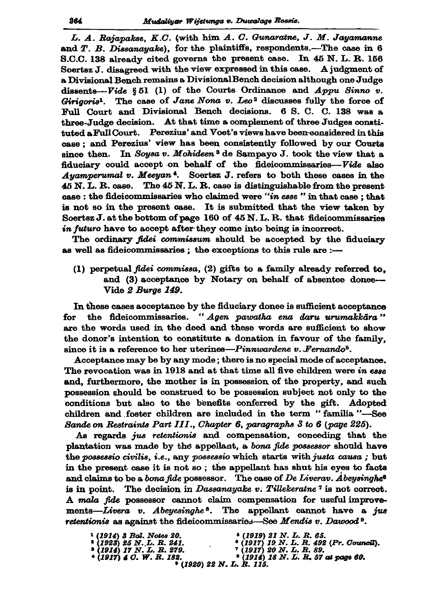L. A. Rajapakse, K.C. (with him A. C. Gunaratne, J. M. Jayamanne and T. B. Dissanayake), for the plaintiffs, respondents.-The case in 6 S.C.C. 138 already cited governs the present case. In 45 N.L.R. 156 Soertsz J. disagreed with the view expressed in this case. A judgment of a Divisional Bench remains a Divisional Bench decision although one Judge dissents-Vide § 51 (1) of the Courts Ordinance and Appu Sinno v. Girigoris<sup>1</sup>. The case of Jane Nona v. Leo<sup>2</sup> discusses fully the force of Full Court and Divisional Bench decisions. 6 S. C. C. 138 was a three-Judge decision. At that time a complement of three Judges constituted a Full Court. Perezius' and Voet's views have been considered in this case: and Perezius' view has been consistently followed by our Courts since then. In Soysa v. Mohideen<sup>3</sup> de Sampayo J. took the view that a fiduciary could accept on behalf of the fideicommissaries-Vide also *Auamperumal v. Meeyan*<sup>4</sup>. Soertsz J. refers to both these cases in the  $45$  N. L. R. case. The  $45$  N. L. R. case is distinguishable from the present case : the fideicommissaries who claimed were "in esse" in that case; that is not so in the present case. It is submitted that the view taken by Soertsz J. at the bottom of page 160 of 45 N. L. R. that fideicommissaries in futuro have to accept after they come into being is incorrect.

The ordinary *fidei commissum* should be accepted by the fiduciary as well as fideicommissaries; the exceptions to this rule are :-

(1) perpetual fidei commissa,  $(2)$  gifts to a family already referred to. and (3) acceptance by Notary on behalf of absentee donee---Vide 2 Burge 149.

In these cases acceptance by the fiduciary donee is sufficient acceptance the fideicommissaries. "Agen pawatha ena daru urumakkāra" for are the words used in the deed and these words are sufficient to show the donor's intention to constitute a donation in favour of the family. since it is a reference to her uterines—Pinnwardene v. Fernando<sup>5</sup>.

Acceptance may be by any mode; there is no special mode of acceptance. The revocation was in 1918 and at that time all five children were in esse and, furthermore, the mother is in possession of the property, and such possession should be construed to be possession subject not only to the conditions but also to the benefits conferred by the gift. Adopted children and foster children are included in the term "familia"-See Sande on Restraints Part III., Chapter 6, paragraphs 3 to 6 (page 225).

As regards jus retentionis and compensation, conceding that the plantation was made by the appellant, a bona fide possessor should have the possessio civilis, i.e., any possessio which starts with justa causa; but in the present case it is not so; the appellant has shut his eyes to facts and claims to be a *bona fide* possessor. The case of *De Liverav. Abeysinghe*<sup>6</sup> is in point. The decision in *Dassanayake v. Tillekeratne*<sup>7</sup> is not correct. A mala fide possessor cannot claim compensation for useful improvements—Livera v. Abeyesinghe<sup>8</sup>. The appellant cannot have a jus retentionis as against the fideicommissaries—See Mendis  $v$ . Dawood<sup>9</sup>.

| <sup>1</sup> (1914) 3 Bal. Notes 20. | $(1919)$ 21 N.L.R.65.                |
|--------------------------------------|--------------------------------------|
| $(1923)$ 25 N.L.R. 241.              | $(1917)$ 19 N.L.R. 492 (Pr. Council) |
| $(1914)$ 17 N.L.R. 279.              | $'$ (1917) 20 N. L. R. 89.           |
| $(1917)$ 4 O, W, R, 182,             | $(1914)$ 18 N. L. R. 57 at page 60.  |
| $(1920)$ 22 N.L.R.115.               |                                      |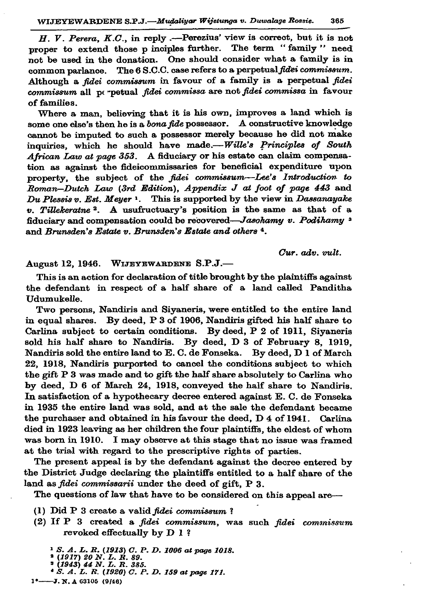H. V. Perera, K.C., in reply .-- Perezius' view is correct, but it is not proper to extend those p inciples further. The term "family" need not be used in the donation. One should consider what a family is in common parlance. The 6 S.C.C. case refers to a perpetual fidei commissum. Although a fidei commissum in favour of a family is a perpetual fidei commissum all perpetual fidei commissa are not fidei commissa in favour of families.

Where a man, believing that it is his own, improves a land which is some one else's then he is a bona fide possessor. A constructive knowledge cannot be imputed to such a possessor merely because he did not make inquiries, which he should have made.-- Wille's Principles of South African Law at page 353. A fiduciary or his estate can claim compensation as against the fideicommissaries for beneficial expenditure upon property, the subject of the fidei commissum-Lee's Introduction to Roman-Dutch Law (3rd Edition), Appendix J at foot of page 443 and Du Plessis v. Est. Meyer <sup>1</sup>. This is supported by the view in Dassanayake v. Tillekeratne<sup>2</sup>. A usufructuary's position is the same as that of a fiduciary and compensation could be recovered-Jasohamy v. Podihamy 3 and *Brunsden's Estate v. Brunsden's Estate and others*<sup>4</sup>.

Cur. adv. vult.

## August 12, 1946. WIJEYEWARDENE S.P.J.-

This is an action for declaration of title brought by the plaintiffs against the defendant in respect of a half share of a land called Panditha Udumukelle.

Two persons, Nandiris and Siyaneris, were entitled to the entire land in equal shares. By deed, P 3 of 1906, Nandiris gifted his half share to Carlina subject to certain conditions. By deed, P 2 of 1911, Siyaneris sold his half share to Nandiris. By deed, D 3 of February 8, 1919, Nandiris sold the entire land to E. C. de Fonseka. By deed, D 1 of March 22, 1918, Nandiris purported to cancel the conditions subject to which the gift P 3 was made and to gift the half share absolutely to Carlina who by deed, D 6 of March 24, 1918, conveyed the half share to Nandiris. In satisfaction of a hypothecary decree entered against E. C. de Fonseka in 1935 the entire land was sold, and at the sale the defendant became the purchaser and obtained in his favour the deed, D 4 of 1941. Carlina died in 1923 leaving as her children the four plaintiffs, the eldest of whom was born in 1910. I may observe at this stage that no issue was framed at the trial with regard to the prescriptive rights of parties.

The present appeal is by the defendant against the decree entered by the District Judge declaring the plaintiffs entitled to a half share of the land as fidei commissarii under the deed of gift, P 3.

The questions of law that have to be considered on this appeal are-

- (1) Did P 3 create a valid fidei commissum?
- (2) If P 3 created a fidei commissum, was such fidei commissum revoked effectually by D 1?

<sup>1</sup> S. A. L. R. (1913) C. P. D. 1006 at page 1018.<br><sup>2</sup> (1917) 20 N. L. R. 89.<br><sup>3</sup> (1943) 44 N. L. R. 385. <sup>4</sup> S. A. L. R. (1920) C. P. D. 159 at page 171.  $1^*$ ---J. N. A 63105 (9/46)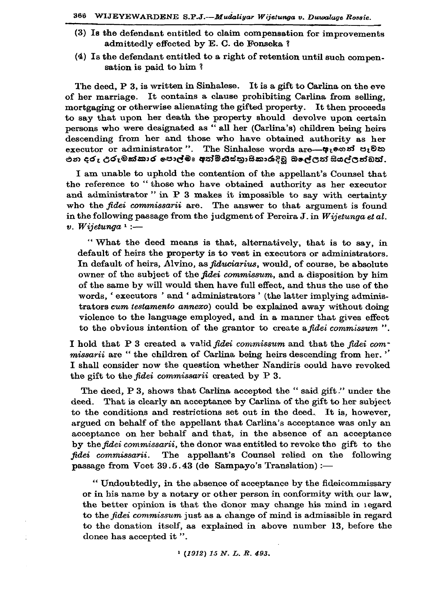- (3) Is the defendant entitled to claim compensation for improvements admittedly effected by E. C. de Fonseka?
- (4) Is the defendant entitled to a right of retention until such compensation is paid to him?

The deed, P 3, is written in Sinhalese. It is a gift to Carlina on the eve It contains a clause prohibiting Carlina from selling, of her marriage. mortgaging or otherwise alienating the gifted property. It then proceeds to say that upon her death the property should devolve upon certain persons who were designated as "all her (Carlina's) children being heirs descending from her and those who have obtained authority as her executor or administrator". The Sinhalese words are— $\phi$ recosi erector එන දරු උරුමක්කාර පොල්මඃ අත්මිනිස්තුාසිකාරාදිවූ බලේලත් සියල්ලත්ඩත්.

I am unable to uphold the contention of the appellant's Counsel that the reference to "those who have obtained authority as her executor and administrator" in P 3 makes it impossible to say with certainty who the fidei commissarii are. The answer to that argument is found in the following passage from the judgment of Pereira J. in Wijetunga et al.  $v.$  Wijetunga  $\cdot$  :-

"What the deed means is that, alternatively, that is to say, in default of heirs the property is to vest in executors or administrators. In default of heirs, Alvino, as *fiduciarius*, would, of course, be absolute owner of the subject of the *fidei commissum*, and a disposition by him of the same by will would then have full effect, and thus the use of the words, 'executors' and 'administrators' (the latter implying administrators cum testamento annexo) could be explained away without doing violence to the language employed, and in a manner that gives effect to the obvious intention of the grantor to create a fidei commissum".

I hold that P 3 created a valid fidei commissum and that the fidei com*missarii* are "the children of Carlina being heirs descending from her." I shall consider now the question whether Nandiris could have revoked the gift to the *fidei* commissarii created by P 3.

The deed, P 3, shows that Carlina accepted the "said gift." under the deed. That is clearly an acceptance by Carlina of the gift to her subject to the conditions and restrictions set out in the deed. It is, however, argued on behalf of the appellant that Carlina's acceptance was only an acceptance on her behalf and that, in the absence of an acceptance by the fidei commissarii, the donor was entitled to revoke the gift to the fidei commissarii. The appellant's Counsel relied on the following passage from Voet 39.5.43 (de Sampayo's Translation) :-

" Undoubtedly, in the absence of acceptance by the fideicommissary or in his name by a notary or other person in conformity with our law, the better opinion is that the donor may change his mind in regard to the fidei commissum just as a change of mind is admissible in regard to the donation itself, as explained in above number 13, before the donee has accepted it".

 $(1912)$  15 N. L. R. 493.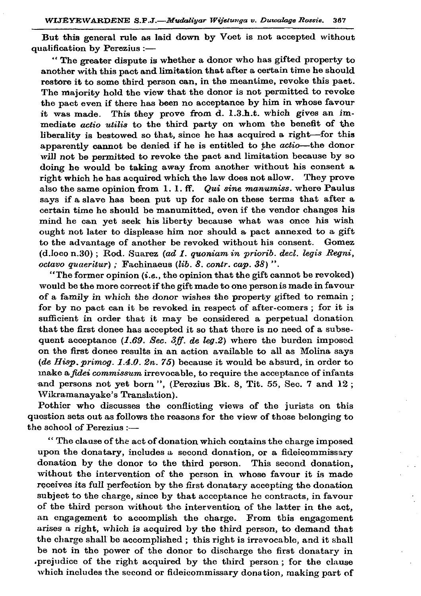But this general rule as laid down by Voet is not accepted without qualification by Perezius :-

"The greater dispute is whether a donor who has gifted property to another with this pact and limitation that after a certain time he should restore it to some third person can, in the meantime, revoke this paet. The majority hold the view that the donor is not permitted to revoke the pact even if there has been no acceptance by him in whose favour This they prove from d. 1.3.h.t. which gives an imit was made. mediate actio utilis to the third party on whom the benefit of the liberality is bestowed so that, since he has acquired a right-for this apparently cannot be denied if he is entitled to the *actio*-the donor will not be permitted to revoke the pact and limitation because by so doing he would be taking away from another without his consent a right which he has acquired which the law does not allow. They prove also the same opinion from 1.1.ff. Qui sine manumiss. where Paulus says if a slave has been put up for sale on these terms that after a certain time he should be manumitted, even if the vendor changes his mind he can yet seek his liberty because what was once his wish ought not later to displease him nor should a pact annexed to a gift to the advantage of another be revoked without his consent. Gomez  $(d.loco n.30)$ ; Rod. Suarez (ad 1. quoniam in priorib. decl. legis Regni,  $octavo$  quaeritur); Fachinaeus (lib. 8. contr. cap. 38)".

"The former opinion  $(i.e., the opinion that the gift cannot be revoked)$ would be the more correct if the gift made to one person is made in favour of a family in which the donor wishes the property gifted to remain; for by no pact can it be revoked in respect of after-comers; for it is sufficient in order that it may be considered a perpetual donation that the first donee has accepted it so that there is no need of a subsequent acceptance  $(1.69.$  Sec. 3ff. de leg.2) where the burden imposed on the first donee results in an action available to all as Molina says (de Hisp. primog. 1.4.0. 2n. 75) because it would be absurd, in order to make a *fidei commissum* irrevocable, to require the acceptance of infants and persons not yet born", (Perozius Bk. 8, Tit. 55, Sec. 7 and 12; Wikramanayake's Translation).

Pothier who discusses the conflicting views of the jurists on this question sets out as follows the reasons for the view of those belonging to the school of Perezius  $:=$ 

"The clause of the act of donation which contains the charge imposed upon the donatary, includes a second donation, or a fideicommissary donation by the donor to the third person. This second donation, without the intervention of the person in whose favour it is made receives its full perfection by the first donatary accepting the donation subject to the charge, since by that acceptance he contracts, in favour of the third person without the intervention of the latter in the act, an engagement to accomplish the charge. From this engagement arises a right, which is acquired by the third person, to demand that the charge shall be accomplished; this right is irrevocable, and it shall be not in the power of the donor to discharge the first donatary in prejudice of the right acquired by the third person; for the clause which includes the second or fideicommissary donation, making part of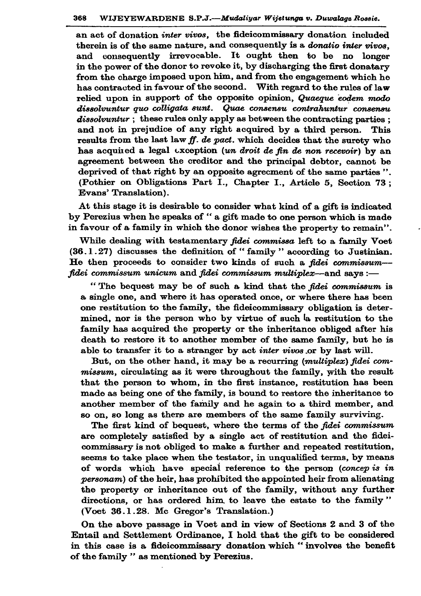an act of donation *inter vivos*, the fideicommissary donation included therein is of the same nature, and consequently is a *donatio inter vivos*. and consequently irrevocable. It ought then to be no longer in the power of the donor to revoke it, by discharging the first donatary from the charge imposed upon him, and from the engagement which he has contracted in favour of the second. With regard to the rules of law relied upon in support of the opposite opinion, Quaeque eodem modo dissolvuntur quo colligata sunt. Quae consensu contrahuntur consensu  $dissubunitur$ : these rules only apply as between the contracting parties : and not in prejudice of any right acquired by a third person. This results from the last law ff. de pact. which decides that the surety who has acquired a legal exception (un droit de fin de non recevoir) by an agreement between the creditor and the principal debtor, cannot be deprived of that right by an opposite agreement of the same parties". (Pothier on Obligations Part I., Chapter I., Article 5, Section 73; Evans' Translation).

At this stage it is desirable to consider what kind of a gift is indicated by Perezius when he speaks of "a gift made to one person which is made in favour of a family in which the donor wishes the property to remain".

While dealing with testamentary fidei commissa left to a family Voet  $(36.1.27)$  discusses the definition of "family" according to Justinian. He then proceeds to consider two kinds of such a fidei commissum-fidei commissum unicum and fidei commissum multiplex—and says :—

"The bequest may be of such a kind that the fidei commissum is a single one, and where it has operated once, or where there has been one restitution to the family, the fideicommissary obligation is determined, nor is the person who by virtue of such a restitution to the family has acquired the property or the inheritance obliged after his death to restore it to another member of the same family, but he is able to transfer it to a stranger by act inter vivos or by last will.

But, on the other hand, it may be a recurring (multiplex) fidei commissum, circulating as it were throughout the family, with the result that the person to whom, in the first instance, restitution has been made as being one of the family, is bound to restore the inheritance to another member of the family and he again to a third member, and so on, so long as there are members of the same family surviving.

The first kind of bequest, where the terms of the fidei commissum are completely satisfied by a single act of restitution and the fideicommissary is not obliged to make a further and repeated restitution, seems to take place when the testator, in unqualified terms, by means of words which have special reference to the person (concep is in personam) of the heir, has prohibited the appointed heir from alienating the property or inheritance out of the family, without any further directions, or has ordered him to leave the estate to the family" (Voet 36.1.28. Mc Gregor's Translation.)

On the above passage in Voet and in view of Sections 2 and 3 of the Entail and Settlement Ordinance, I hold that the gift to be considered in this case is a fideicommissary donation which "involves the benefit of the family " as mentioned by Perezius.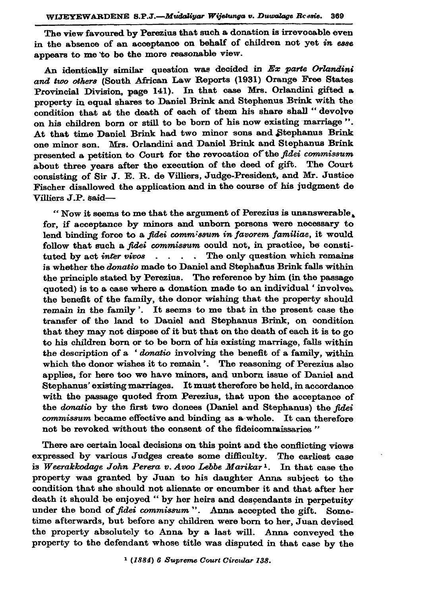The view favoured by Perezius that such a donation is irrevocable even in the absence of an acceptance on behalf of children not yet in esse appears to me to be the more reasonable view.

An identically similar question was decided in Ex parte Orlandini and two others (South African Law Reports (1931) Orange Free States Provincial Division, page 141). In that case Mrs. Orlandini gifted a property in equal shares to Daniel Brink and Stephenus Brink with the condition that at the death of each of them his share shall "devolve on his children born or still to be born of his now existing marriage". At that time Daniel Brink had two minor sons and Stephanus Brink one minor son. Mrs. Orlandini and Daniel Brink and Stephanus Brink presented a petition to Court for the revocation of the fidei commissum about three years after the execution of the deed of gift. The Court consisting of Sir J. E. R. de Villiers, Judge-President. and Mr. Justice Fischer disallowed the application and in the course of his judgment de Villiers J.P. said-

"Now it seems to me that the argument of Perezius is unanswerable. for, if acceptance by minors and unborn persons were necessary to lend binding force to a fidei commissum in favorem familiae, it would follow that such a *fidei* commissum could not, in practice, be constituted by act *inter vivos*  $\ldots$  . The only question which remains is whether the *donatio* made to Daniel and Stephanus Brink falls within the principle stated by Perezius. The reference by him (in the passage quoted) is to a case where a donation made to an individual 'involves the benefit of the family, the donor wishing that the property should remain in the family'. It seems to me that in the present case the transfer of the land to Daniel and Stephanus Brink, on condition that they may not dispose of it but that on the death of each it is to go to his children born or to be born of his existing marriage, falls within the description of a 'donatio involving the benefit of a family, within which the donor wishes it to remain '. The reasoning of Perezius also applies, for here too we have minors, and unborn issue of Daniel and Stephanus' existing marriages. It must therefore be held, in accordance with the passage quoted from Perezius, that upon the acceptance of the donatio by the first two donees (Daniel and Stephanus) the fidei commissum became effective and binding as a whole. It can therefore not be revoked without the consent of the fideicommissaries"

There are certain local decisions on this point and the conflicting views expressed by various Judges create some difficulty. The earliest case is Weerakkodage John Perera v. Avoo Lebbe Marikar<sup>1</sup>. In that case the property was granted by Juan to his daughter Anna subject to the condition that she should not alienate or encumber it and that after her death it should be enjoyed " by her heirs and descendants in perpetuity under the bond of fidei commissum". Anna accepted the gift. Sometime afterwards, but before any children were born to her, Juan devised the property absolutely to Anna by a last will. Anna conveved the property to the defendant whose title was disputed in that case by the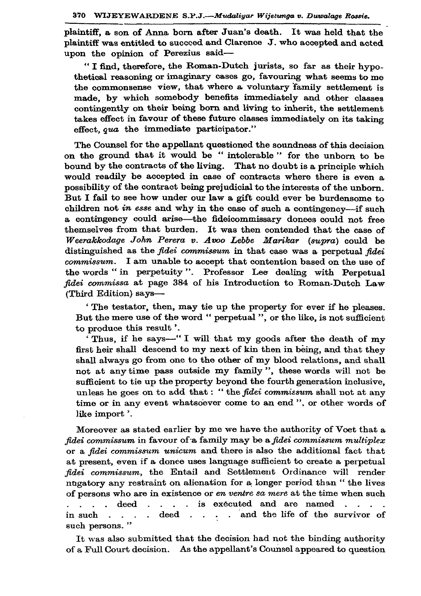plaintiff, a son of Anna born after Juan's death. It was held that the plaintiff was entitled to succeed and Clarence J. who accepted and acted upon the opinion of Perezius said-

"I find, therefore, the Roman-Dutch jurists, so far as their hypothetical reasoning or imaginary cases go, favouring what seems to me the commonsense view, that where a voluntary family settlement is made. by which somebody benefits immediately and other classes contingently on their being born and living to inherit, the settlement takes effect in favour of these future classes immediately on its taking effect. qua the immediate participator."

The Counsel for the appellant questioned the soundness of this decision on the ground that it would be "intolerable" for the unborn to be bound by the contracts of the living. That no doubt is a principle which would readily be accepted in case of contracts where there is even a possibility of the contract being prejudicial to the interests of the unborn. But I fail to see how under our law a gift could ever be burdensome to children not in esse and why in the case of such a contingency---if such a contingency could arise—the fideicommissary donees could not free themselves from that burden. It was then contended that the case of Weerakkodage John Perera v. Avoo Lebbe Marikar (supra) could be distinguished as the *fidei commissum* in that case was a perpetual *fidei* commissum. I am unable to accept that contention based on the use of the words "in perpetuity". Professor Lee dealing with Perpetual fidei commissa at page 384 of his Introduction to Roman-Dutch Law (Third Edition) says-

'The testator, then, may tie up the property for ever if he pleases. But the mere use of the word " perpetual ", or the like, is not sufficient to produce this result'.

Thus, if he says—"I will that my goods after the death of my first heir shall descend to my next of kin then in being, and that they shall always go from one to the other of my blood relations, and shall not at any time pass outside my family", these words will not be sufficient to tie up the property beyond the fourth generation inclusive. unless he goes on to add that: "the *fidei commissum* shall not at any time or in any event whatsoever come to an end", or other words of like import'.

Moreover as stated earlier by me we have the authority of Voet that a fidei commissum in favour of a family may be a fidei commissum multiplex or a fidei commissum unicum and there is also the additional fact that at present, even if a donee uses language sufficient to create a perpetual fidei commissum, the Entail and Settlement Ordinance will render nugatory any restraint on alienation for a longer period than "the lives of persons who are in existence or en ventre sa mere at the time when such  $\mathcal{L}^{\mathcal{L}}$ deed . . . . is executed and are named . . . .  $\mathbf{L} = \mathbf{L}$ . deed . . . . and the life of the survivor of in such such persons."

It was also submitted that the decision had not the binding authority of a Full Court decision. As the appellant's Counsel appeared to question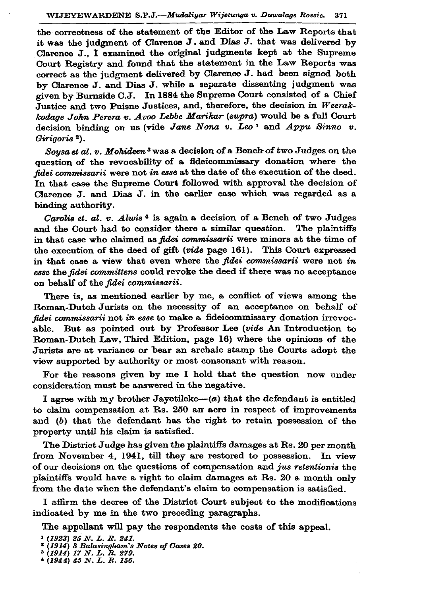the correctness of the statement of the Editor of the Law Reports that it was the judgment of Clarence J. and Dias J. that was delivered by Clarence J., I examined the original judgments kept at the Supreme Court Registry and found that the statement in the Law Reports was correct as the judgment delivered by Clarence J. had been signed both by Clarence J. and Dias J. while a separate dissenting judgment was given by Burnside C.J. In 1884 the Supreme Court consisted of a Chief Justice and two Puisne Justices, and, therefore, the decision in Weerakkodage John Perera v. Avoo Lebbe Marikar (supra) would be a full Court decision binding on us (vide Jane Nona v. Leo<sup>1</sup> and Appu Sinno v. Girigoris<sup>2</sup>).

Sousa et al. v. Mohideen<sup>3</sup> was a decision of a Bench of two Judges on the question of the revocability of a fideicommissary donation where the fidei commissarii were not in esse at the date of the execution of the deed. In that case the Supreme Court followed with approval the decision of Clarence J. and Dias J. in the earlier case which was regarded as a binding authority.

*Carolis et. al. v. Alwis*<sup>4</sup> is again a decision of a Bench of two Judges and the Court had to consider there a similar question. The plaintiffs in that case who claimed as *fidei commissarii* were minors at the time of the execution of the deed of gift (vide page 161). This Court expressed in that case a view that even where the *fidei commissarii* were not in esse the fidei committens could revoke the deed if there was no acceptance on behalf of the fidei commissarii.

There is, as mentioned earlier by me, a conflict of views among the Roman-Dutch Jurists on the necessity of an acceptance on behalf of fidei commissarii not in esse to make a fideicommissary donation irrevoc-But as pointed out by Professor Lee (vide An Introduction to able. Roman-Dutch Law, Third Edition, page 16) where the opinions of the Jurists are at variance or bear an archaic stamp the Courts adopt the view supported by authority or most consonant with reason.

For the reasons given by me I hold that the question now under consideration must be answered in the negative.

I agree with my brother Jayotileke- $(a)$  that the defendant is entitled to claim compensation at Rs. 250 an acre in respect of improvements and (b) that the defendant has the right to retain possession of the property until his claim is satisfied.

The District Judge has given the plaintiffs damages at Rs. 20 per month from November 4, 1941, till they are restored to possession. In view of our decisions on the questions of compensation and jus retentionis the plaintiffs would have a right to claim damages at Rs. 20 a month only from the date when the defendant's claim to compensation is satisfied.

I affirm the decree of the District Court subject to the modifications indicated by me in the two preceding paragraphs.

The appellant will pay the respondents the costs of this appeal.

 $1$  (1923) 25 N. L. R. 241.

<sup>\* (1914) 3</sup> Balasingham's Notes of Cases 20.

 $(1914)$  17 N. L. R. 279.<br>
(1944) 45 N. L. R. 156.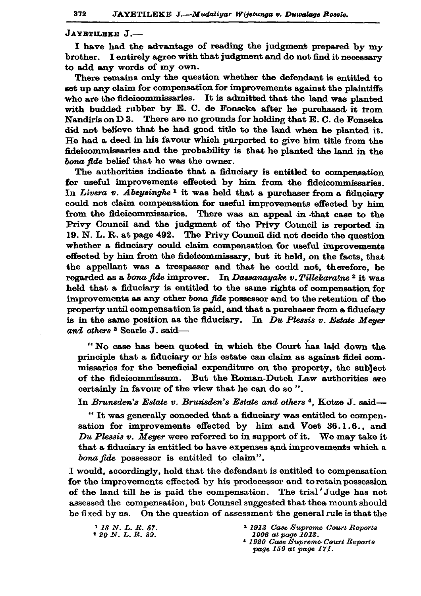JAYETILEKE J.-

I have had the advantage of reading the judgment prepared by my brother. I entirely agree with that judgment and do not find it necessary to add any words of my own.

There remains only the question whether the defendant is entitled to set up any claim for compensation for improvements against the plaintiffs who are the fideicommissaries. It is admitted that the land was planted with budded rubber by E. C. de Fonseka after he purchased it from Nandiris on D 3. There are no grounds for holding that E. C. de Fonseka did not believe that he had good title to the land when he planted it. He had a deed in his favour which purported to give him title from the fideicommissaries and the probability is that he planted the land in the bona fide belief that he was the owner.

The authorities indicate that a fiduciary is entitled to compensation for useful improvements effected by him from the fideicommissaries. In Livera v. Abeysinghe<sup>1</sup> it was held that a purchaser from a fiduciary could not claim compensation for useful improvements effected by him from the fideicommissaries. There was an appeal in that case to the Privy Council and the judgment of the Privy Council is reported in 19. N. L. R. at page 492. The Privy Council did not decide the question whether a fiduciary could claim compensation for useful improvements effected by him from the fideicommissary, but it held, on the facts, that the appellant was a trespasser and that he could not, therefore, be regarded as a bona fide improver. In Dassanayake v. Tillekaratne<sup>2</sup> it was held that a fiduciary is entitled to the same rights of compensation for improvements as any other bona fide possessor and to the retention of the property until compensation is paid, and that a purchaser from a fiduciary is in the same position as the fiduciary. In Du Plessis v. Estate Meuer and others<sup>3</sup> Searle J. said-

"No case has been quoted in which the Court has laid down the principle that a fiduciary or his estate can claim as against fidei commissaries for the beneficial expenditure on the property, the subject of the fideicommissum. But the Roman-Dutch Law authorities are certainly in favour of the view that he can do so".

In Brunsden's Estate v. Brunsden's Estate and others<sup>4</sup>, Kotze J. said-

"It was generally conceded that a fiduciary was entitled to compensation for improvements effected by him and Voet 36.1.6., and Du Plessis  $v$ . Meyer were referred to in support of it. We may take it that a fiduciary is entitled to have expenses and improvements which a bona fide possessor is entitled to claim".

I would, accordingly, hold that the defendant is entitled to compensation for the improvements effected by his predecessor and to retain possession of the land till he is paid the compensation. The trial Judge has not assessed the compensation, but Counsel suggested that the amount should be fixed by us. On the question of assessment the general rule is that the

<sup>1</sup> 18 N.L.R. 57.

 $20 N. L. R. 89.$ 

<sup>&</sup>lt;sup>3</sup> 1913 Case Supreme Court Reports 1006 at page 1018.

<sup>&</sup>lt;sup>4</sup> 1920 Case Supreme Court Reports page 159 at page 171.